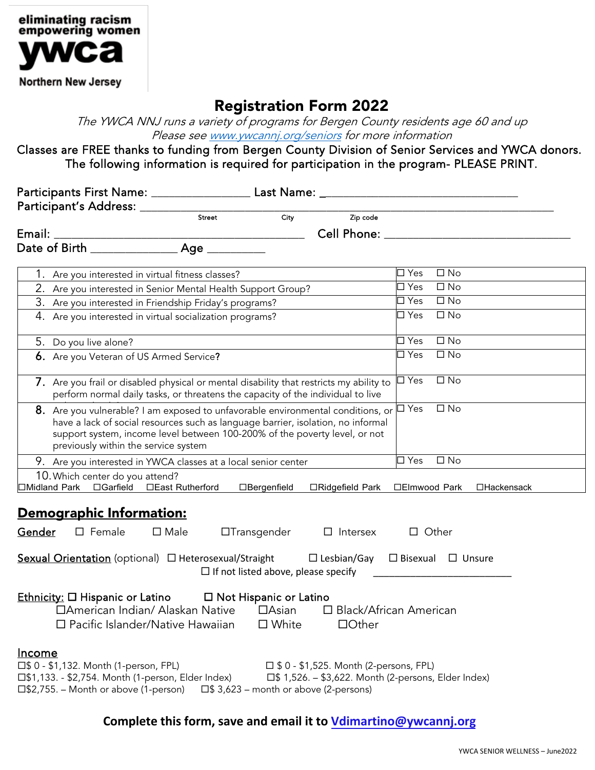

## Registration Form 2022

The YWCA NNJ runs a variety of programs for Bergen County residents age 60 and up Please se[e www.ywcannj.org/seniors](http://www.ywcannj.org/seniors) for more information

Classes are FREE thanks to funding from Bergen County Division of Senior Services and YWCA donors. The following information is required for participation in the program- PLEASE PRINT.

| Street                                                                                                                                                                                                                                                                                    | $\overline{City}$                            | Zip code                                      |                                                      |             |
|-------------------------------------------------------------------------------------------------------------------------------------------------------------------------------------------------------------------------------------------------------------------------------------------|----------------------------------------------|-----------------------------------------------|------------------------------------------------------|-------------|
|                                                                                                                                                                                                                                                                                           |                                              |                                               |                                                      |             |
|                                                                                                                                                                                                                                                                                           |                                              |                                               |                                                      |             |
| 1. Are you interested in virtual fitness classes?                                                                                                                                                                                                                                         |                                              |                                               | $\square$ No<br>$\square$ Yes                        |             |
| 2. Are you interested in Senior Mental Health Support Group?                                                                                                                                                                                                                              |                                              |                                               | $\Box$ Yes<br>$\square$ No                           |             |
| 3. Are you interested in Friendship Friday's programs?                                                                                                                                                                                                                                    |                                              |                                               | $\Box$ Yes<br>$\square$ No                           |             |
| 4. Are you interested in virtual socialization programs?                                                                                                                                                                                                                                  |                                              |                                               | $\Box$ No<br>$\square$ Yes                           |             |
| 5. Do you live alone?                                                                                                                                                                                                                                                                     |                                              |                                               | $\Box$ No<br>$\square$ Yes                           |             |
| 6. Are you Veteran of US Armed Service?                                                                                                                                                                                                                                                   |                                              |                                               | $\square$ Yes<br>$\square$ No                        |             |
| 7. Are you frail or disabled physical or mental disability that restricts my ability to<br>perform normal daily tasks, or threatens the capacity of the individual to live                                                                                                                |                                              |                                               | $\Box$ No<br>$\Box$ Yes                              |             |
| 8. Are you vulnerable? I am exposed to unfavorable environmental conditions, or<br>have a lack of social resources such as language barrier, isolation, no informal<br>support system, income level between 100-200% of the poverty level, or not<br>previously within the service system |                                              |                                               | $\Box$ Yes<br>$\square$ No                           |             |
| 9. Are you interested in YWCA classes at a local senior center                                                                                                                                                                                                                            |                                              |                                               | $\overline{\Box}$ Yes<br>$\square$ No                |             |
| 10. Which center do you attend?                                                                                                                                                                                                                                                           |                                              |                                               |                                                      |             |
| □Midland Park □Garfield □East Rutherford                                                                                                                                                                                                                                                  | □Bergenfield                                 | □Ridgefield Park                              | □Elmwood Park                                        | □Hackensack |
| Demographic Information:<br><u>Gender</u><br>$\square$ Female<br>$\square$ Male                                                                                                                                                                                                           | $\Box$ Transgender                           | $\Box$ Intersex                               | $\Box$ Other                                         |             |
| <b>Sexual Orientation</b> (optional) $\Box$ Heterosexual/Straight $\Box$ Lesbian/Gay $\Box$ Bisexual $\Box$ Unsure                                                                                                                                                                        | $\Box$ If not listed above, please specify   |                                               |                                                      |             |
| $Ethnicity: \Box Hispanic or Latino \Box Not Hispanic or Latino$<br>□American Indian/ Alaskan Native □Asian<br>□ Pacific Islander/Native Hawaiian                                                                                                                                         | □ White                                      | $\Box$ Other                                  | □ Black/African American                             |             |
| <u>Income</u><br>□\$0 - \$1,132. Month (1-person, FPL)<br>□ \$1,133. - \$2,754. Month (1-person, Elder Index)<br>□\$2,755. – Month or above (1-person)                                                                                                                                    | $\Box$ \$ 3,623 – month or above (2-persons) | $\Box$ \$ 0 - \$1,525. Month (2-persons, FPL) | □ \$1,526. - \$3,622. Month (2-persons, Elder Index) |             |

**Complete this form, save and email it to [Vdimartino@ywcannj.org](mailto:vdimartino@ywcannj.org)**